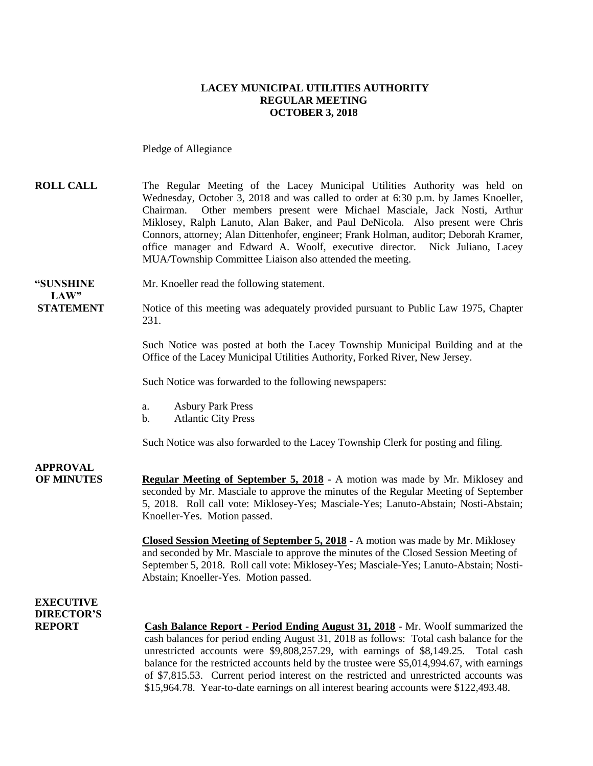#### **LACEY MUNICIPAL UTILITIES AUTHORITY REGULAR MEETING OCTOBER 3, 2018**

Pledge of Allegiance

#### **ROLL CALL** The Regular Meeting of the Lacey Municipal Utilities Authority was held on Wednesday, October 3, 2018 and was called to order at 6:30 p.m. by James Knoeller, Chairman. Other members present were Michael Masciale, Jack Nosti, Arthur Miklosey, Ralph Lanuto, Alan Baker, and Paul DeNicola. Also present were Chris Connors, attorney; Alan Dittenhofer, engineer; Frank Holman, auditor; Deborah Kramer, office manager and Edward A. Woolf, executive director. Nick Juliano, Lacey MUA/Township Committee Liaison also attended the meeting.

**"SUNSHINE** Mr. Knoeller read the following statement.

**STATEMENT** Notice of this meeting was adequately provided pursuant to Public Law 1975, Chapter 231.

> Such Notice was posted at both the Lacey Township Municipal Building and at the Office of the Lacey Municipal Utilities Authority, Forked River, New Jersey.

Such Notice was forwarded to the following newspapers:

- a. Asbury Park Press
- b. Atlantic City Press

Such Notice was also forwarded to the Lacey Township Clerk for posting and filing.

# **APPROVAL**

 $LAW"$ 

**OF MINUTES Regular Meeting of September 5, 2018** - A motion was made by Mr. Miklosey and seconded by Mr. Masciale to approve the minutes of the Regular Meeting of September 5, 2018. Roll call vote: Miklosey-Yes; Masciale-Yes; Lanuto-Abstain; Nosti-Abstain; Knoeller-Yes. Motion passed.

> **Closed Session Meeting of September 5, 2018 -** A motion was made by Mr. Miklosey and seconded by Mr. Masciale to approve the minutes of the Closed Session Meeting of September 5, 2018. Roll call vote: Miklosey-Yes; Masciale-Yes; Lanuto-Abstain; Nosti-Abstain; Knoeller-Yes. Motion passed.

### **EXECUTIVE DIRECTOR'S**

**REPORT Cash Balance Report - Period Ending August 31, 2018** - Mr. Woolf summarized the cash balances for period ending August 31, 2018 as follows: Total cash balance for the unrestricted accounts were \$9,808,257.29, with earnings of \$8,149.25. Total cash balance for the restricted accounts held by the trustee were \$5,014,994.67, with earnings of \$7,815.53. Current period interest on the restricted and unrestricted accounts was \$15,964.78. Year-to-date earnings on all interest bearing accounts were \$122,493.48.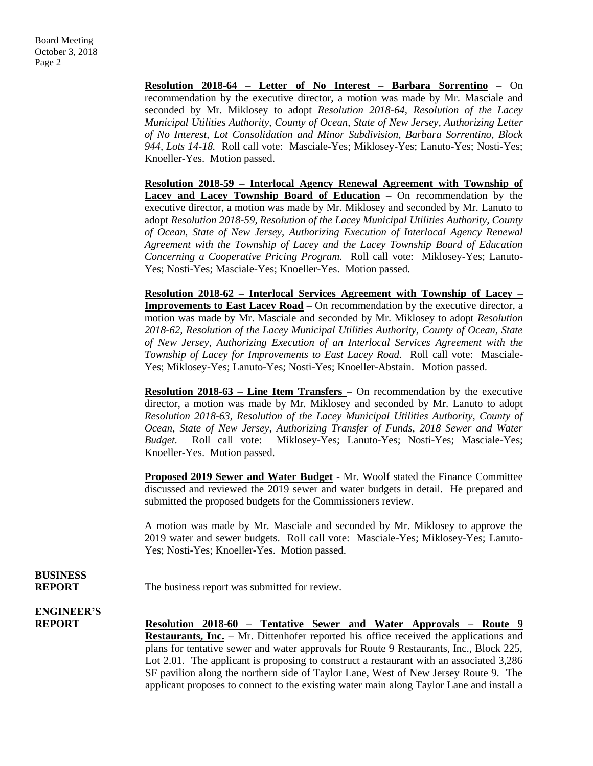**Resolution 2018-64 – Letter of No Interest – Barbara Sorrentino –** On recommendation by the executive director, a motion was made by Mr. Masciale and seconded by Mr. Miklosey to adopt *Resolution 2018-64, Resolution of the Lacey Municipal Utilities Authority, County of Ocean, State of New Jersey, Authorizing Letter of No Interest, Lot Consolidation and Minor Subdivision, Barbara Sorrentino, Block 944, Lots 14-18.* Roll call vote: Masciale-Yes; Miklosey-Yes; Lanuto-Yes; Nosti-Yes; Knoeller-Yes. Motion passed.

**Resolution 2018-59 – Interlocal Agency Renewal Agreement with Township of Lacey and Lacey Township Board of Education –** On recommendation by the executive director, a motion was made by Mr. Miklosey and seconded by Mr. Lanuto to adopt *Resolution 2018-59, Resolution of the Lacey Municipal Utilities Authority, County of Ocean, State of New Jersey, Authorizing Execution of Interlocal Agency Renewal Agreement with the Township of Lacey and the Lacey Township Board of Education Concerning a Cooperative Pricing Program.* Roll call vote: Miklosey-Yes; Lanuto-Yes; Nosti-Yes; Masciale-Yes; Knoeller-Yes. Motion passed.

**Resolution 2018-62 – Interlocal Services Agreement with Township of Lacey – Improvements to East Lacey Road** – On recommendation by the executive director, a motion was made by Mr. Masciale and seconded by Mr. Miklosey to adopt *Resolution 2018-62, Resolution of the Lacey Municipal Utilities Authority, County of Ocean, State of New Jersey, Authorizing Execution of an Interlocal Services Agreement with the Township of Lacey for Improvements to East Lacey Road.* Roll call vote: Masciale-Yes; Miklosey-Yes; Lanuto-Yes; Nosti-Yes; Knoeller-Abstain. Motion passed.

**Resolution 2018-63 – Line Item Transfers –** On recommendation by the executive director, a motion was made by Mr. Miklosey and seconded by Mr. Lanuto to adopt *Resolution 2018-63, Resolution of the Lacey Municipal Utilities Authority, County of Ocean, State of New Jersey, Authorizing Transfer of Funds, 2018 Sewer and Water Budget.* Roll call vote: Miklosey-Yes; Lanuto-Yes; Nosti-Yes; Masciale-Yes; Knoeller-Yes. Motion passed.

**Proposed 2019 Sewer and Water Budget** - Mr. Woolf stated the Finance Committee discussed and reviewed the 2019 sewer and water budgets in detail. He prepared and submitted the proposed budgets for the Commissioners review.

A motion was made by Mr. Masciale and seconded by Mr. Miklosey to approve the 2019 water and sewer budgets. Roll call vote: Masciale-Yes; Miklosey-Yes; Lanuto-Yes; Nosti-Yes; Knoeller-Yes. Motion passed.

## **BUSINESS**

**REPORT** The business report was submitted for review.

**ENGINEER'S**

**REPORT Resolution 2018-60 – Tentative Sewer and Water Approvals – Route 9 Restaurants, Inc.** – Mr. Dittenhofer reported his office received the applications and plans for tentative sewer and water approvals for Route 9 Restaurants, Inc., Block 225, Lot 2.01. The applicant is proposing to construct a restaurant with an associated 3,286 SF pavilion along the northern side of Taylor Lane, West of New Jersey Route 9. The applicant proposes to connect to the existing water main along Taylor Lane and install a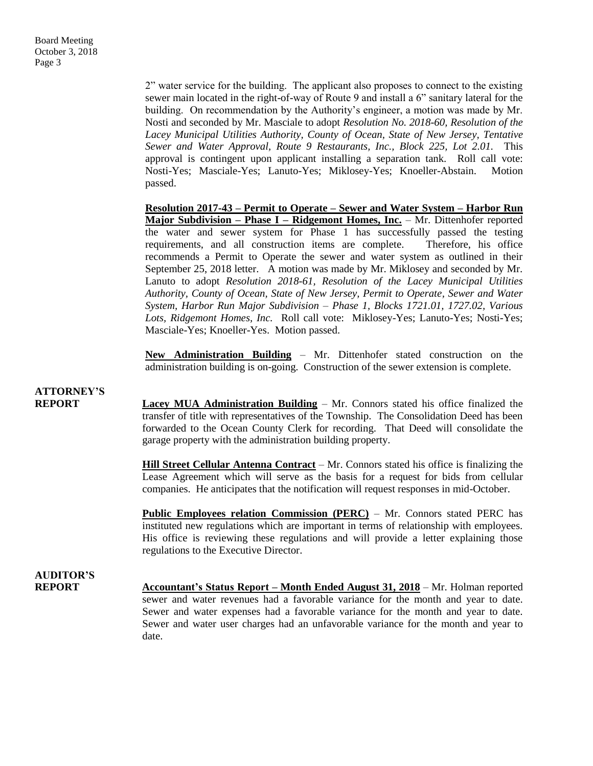2" water service for the building. The applicant also proposes to connect to the existing sewer main located in the right-of-way of Route 9 and install a 6" sanitary lateral for the building. On recommendation by the Authority's engineer, a motion was made by Mr. Nosti and seconded by Mr. Masciale to adopt *Resolution No. 2018-60, Resolution of the Lacey Municipal Utilities Authority, County of Ocean, State of New Jersey, Tentative Sewer and Water Approval, Route 9 Restaurants, Inc., Block 225, Lot 2.01.* This approval is contingent upon applicant installing a separation tank. Roll call vote: Nosti-Yes; Masciale-Yes; Lanuto-Yes; Miklosey-Yes; Knoeller-Abstain. Motion passed.

**Resolution 2017-43 – Permit to Operate – Sewer and Water System – Harbor Run Major Subdivision – Phase I – Ridgemont Homes, Inc.** – Mr. Dittenhofer reported the water and sewer system for Phase 1 has successfully passed the testing requirements, and all construction items are complete. Therefore, his office recommends a Permit to Operate the sewer and water system as outlined in their September 25, 2018 letter. A motion was made by Mr. Miklosey and seconded by Mr. Lanuto to adopt *Resolution 2018-61, Resolution of the Lacey Municipal Utilities Authority, County of Ocean, State of New Jersey, Permit to Operate, Sewer and Water System, Harbor Run Major Subdivision – Phase 1, Blocks 1721.01, 1727.02, Various Lots, Ridgemont Homes, Inc.* Roll call vote: Miklosey-Yes; Lanuto-Yes; Nosti-Yes; Masciale-Yes; Knoeller-Yes. Motion passed.

**New Administration Building** – Mr. Dittenhofer stated construction on the administration building is on-going. Construction of the sewer extension is complete.

### **ATTORNEY'S**

**REPORT Lacey MUA Administration Building** – Mr. Connors stated his office finalized the transfer of title with representatives of the Township. The Consolidation Deed has been forwarded to the Ocean County Clerk for recording. That Deed will consolidate the garage property with the administration building property.

> **Hill Street Cellular Antenna Contract** – Mr. Connors stated his office is finalizing the Lease Agreement which will serve as the basis for a request for bids from cellular companies. He anticipates that the notification will request responses in mid-October.

> **Public Employees relation Commission (PERC)** – Mr. Connors stated PERC has instituted new regulations which are important in terms of relationship with employees. His office is reviewing these regulations and will provide a letter explaining those regulations to the Executive Director.

### **AUDITOR'S**

**REPORT Accountant's Status Report – Month Ended August 31, 2018** – Mr. Holman reported sewer and water revenues had a favorable variance for the month and year to date. Sewer and water expenses had a favorable variance for the month and year to date. Sewer and water user charges had an unfavorable variance for the month and year to date.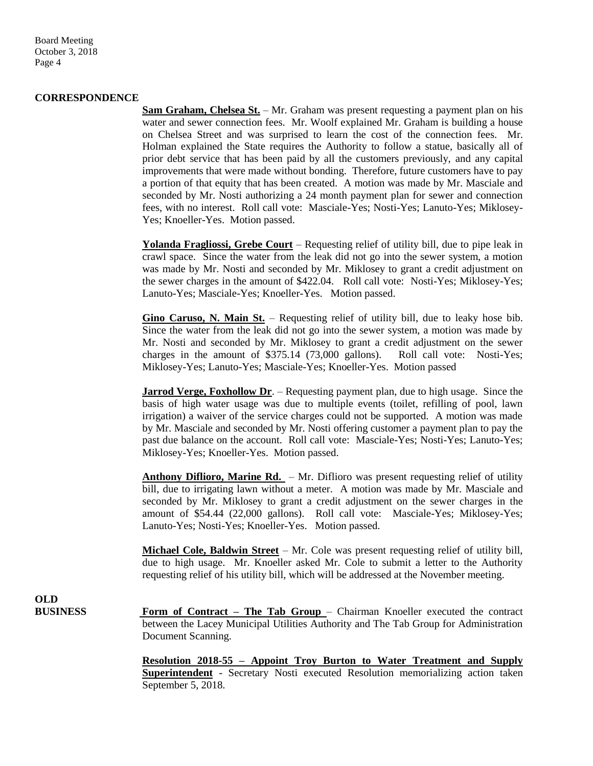Board Meeting October 3, 2018 Page 4

#### **CORRESPONDENCE**

**Sam Graham, Chelsea St.** – Mr. Graham was present requesting a payment plan on his water and sewer connection fees. Mr. Woolf explained Mr. Graham is building a house on Chelsea Street and was surprised to learn the cost of the connection fees. Mr. Holman explained the State requires the Authority to follow a statue, basically all of prior debt service that has been paid by all the customers previously, and any capital improvements that were made without bonding. Therefore, future customers have to pay a portion of that equity that has been created. A motion was made by Mr. Masciale and seconded by Mr. Nosti authorizing a 24 month payment plan for sewer and connection fees, with no interest. Roll call vote: Masciale-Yes; Nosti-Yes; Lanuto-Yes; Miklosey-Yes; Knoeller-Yes. Motion passed.

**Yolanda Fragliossi, Grebe Court** – Requesting relief of utility bill, due to pipe leak in crawl space. Since the water from the leak did not go into the sewer system, a motion was made by Mr. Nosti and seconded by Mr. Miklosey to grant a credit adjustment on the sewer charges in the amount of \$422.04. Roll call vote: Nosti-Yes; Miklosey-Yes; Lanuto-Yes; Masciale-Yes; Knoeller-Yes. Motion passed.

**Gino Caruso, N. Main St.** – Requesting relief of utility bill, due to leaky hose bib. Since the water from the leak did not go into the sewer system, a motion was made by Mr. Nosti and seconded by Mr. Miklosey to grant a credit adjustment on the sewer charges in the amount of \$375.14 (73,000 gallons). Roll call vote: Nosti-Yes; Miklosey-Yes; Lanuto-Yes; Masciale-Yes; Knoeller-Yes. Motion passed

**Jarrod Verge, Foxhollow Dr.** – Requesting payment plan, due to high usage. Since the basis of high water usage was due to multiple events (toilet, refilling of pool, lawn irrigation) a waiver of the service charges could not be supported. A motion was made by Mr. Masciale and seconded by Mr. Nosti offering customer a payment plan to pay the past due balance on the account. Roll call vote: Masciale-Yes; Nosti-Yes; Lanuto-Yes; Miklosey-Yes; Knoeller-Yes. Motion passed.

**Anthony Diflioro, Marine Rd.** – Mr. Diflioro was present requesting relief of utility bill, due to irrigating lawn without a meter. A motion was made by Mr. Masciale and seconded by Mr. Miklosey to grant a credit adjustment on the sewer charges in the amount of \$54.44 (22,000 gallons). Roll call vote: Masciale-Yes; Miklosey-Yes; Lanuto-Yes; Nosti-Yes; Knoeller-Yes. Motion passed.

**Michael Cole, Baldwin Street** – Mr. Cole was present requesting relief of utility bill, due to high usage. Mr. Knoeller asked Mr. Cole to submit a letter to the Authority requesting relief of his utility bill, which will be addressed at the November meeting.

**OLD**<br>**BUSINESS** 

Form of Contract – The Tab Group – Chairman Knoeller executed the contract between the Lacey Municipal Utilities Authority and The Tab Group for Administration Document Scanning.

**Resolution 2018-55 – Appoint Troy Burton to Water Treatment and Supply Superintendent** - Secretary Nosti executed Resolution memorializing action taken September 5, 2018.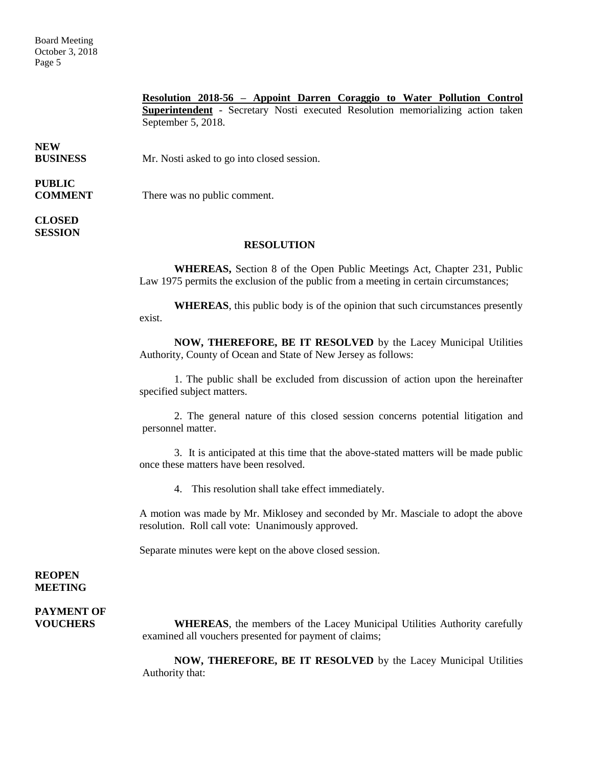Board Meeting October 3, 2018 Page 5

> **Resolution 2018-56 – Appoint Darren Coraggio to Water Pollution Control Superintendent** - Secretary Nosti executed Resolution memorializing action taken September 5, 2018.

**NEW**

**BUSINESS** Mr. Nosti asked to go into closed session.

# **PUBLIC**

**COMMENT** There was no public comment.

#### **CLOSED SESSION**

#### **RESOLUTION**

**WHEREAS,** Section 8 of the Open Public Meetings Act, Chapter 231, Public Law 1975 permits the exclusion of the public from a meeting in certain circumstances;

**WHEREAS**, this public body is of the opinion that such circumstances presently exist.

**NOW, THEREFORE, BE IT RESOLVED** by the Lacey Municipal Utilities Authority, County of Ocean and State of New Jersey as follows:

1. The public shall be excluded from discussion of action upon the hereinafter specified subject matters.

2. The general nature of this closed session concerns potential litigation and personnel matter.

3. It is anticipated at this time that the above-stated matters will be made public once these matters have been resolved.

4. This resolution shall take effect immediately.

A motion was made by Mr. Miklosey and seconded by Mr. Masciale to adopt the above resolution. Roll call vote: Unanimously approved.

Separate minutes were kept on the above closed session.

#### **REOPEN MEETING**

# **PAYMENT OF**

**VOUCHERS WHEREAS**, the members of the Lacey Municipal Utilities Authority carefully examined all vouchers presented for payment of claims;

> **NOW, THEREFORE, BE IT RESOLVED** by the Lacey Municipal Utilities Authority that: